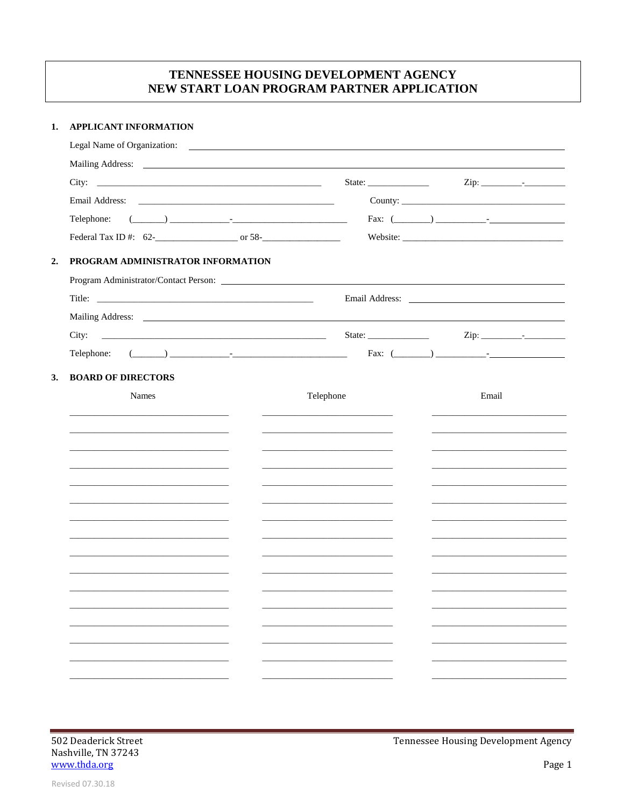# TENNESSEE HOUSING DEVELOPMENT AGENCY NEW START LOAN PROGRAM PARTNER APPLICATION

### 1. APPLICANT INFORMATION

| Legal Name of Organization:       | <u> 1989 - Andrea Barbara, politikar esperantor e popular estas esperantor e altre</u> |                                                                                                                                                                                                                                                                                                                                                                                                              |                                                             |  |  |
|-----------------------------------|----------------------------------------------------------------------------------------|--------------------------------------------------------------------------------------------------------------------------------------------------------------------------------------------------------------------------------------------------------------------------------------------------------------------------------------------------------------------------------------------------------------|-------------------------------------------------------------|--|--|
|                                   |                                                                                        |                                                                                                                                                                                                                                                                                                                                                                                                              |                                                             |  |  |
|                                   |                                                                                        |                                                                                                                                                                                                                                                                                                                                                                                                              | $\mathsf{Zip:}\n \qquad \qquad \qquad \qquad \qquad \qquad$ |  |  |
|                                   |                                                                                        |                                                                                                                                                                                                                                                                                                                                                                                                              |                                                             |  |  |
| Telephone:                        |                                                                                        |                                                                                                                                                                                                                                                                                                                                                                                                              |                                                             |  |  |
|                                   |                                                                                        |                                                                                                                                                                                                                                                                                                                                                                                                              |                                                             |  |  |
| PROGRAM ADMINISTRATOR INFORMATION |                                                                                        |                                                                                                                                                                                                                                                                                                                                                                                                              |                                                             |  |  |
|                                   |                                                                                        |                                                                                                                                                                                                                                                                                                                                                                                                              |                                                             |  |  |
|                                   |                                                                                        |                                                                                                                                                                                                                                                                                                                                                                                                              |                                                             |  |  |
|                                   |                                                                                        |                                                                                                                                                                                                                                                                                                                                                                                                              |                                                             |  |  |
|                                   |                                                                                        | State: $\frac{1}{\sqrt{1-\frac{1}{2}}\sqrt{1-\frac{1}{2}}\sqrt{1-\frac{1}{2}}\sqrt{1-\frac{1}{2}}\sqrt{1-\frac{1}{2}}\sqrt{1-\frac{1}{2}}\sqrt{1-\frac{1}{2}}\sqrt{1-\frac{1}{2}}\sqrt{1-\frac{1}{2}}\sqrt{1-\frac{1}{2}}\sqrt{1-\frac{1}{2}}\sqrt{1-\frac{1}{2}}\sqrt{1-\frac{1}{2}}\sqrt{1-\frac{1}{2}}\sqrt{1-\frac{1}{2}}\sqrt{1-\frac{1}{2}}\sqrt{1-\frac{1}{2}}\sqrt{1-\frac{1}{2}}\sqrt{1-\frac{1}{2$ |                                                             |  |  |
|                                   |                                                                                        |                                                                                                                                                                                                                                                                                                                                                                                                              |                                                             |  |  |
| <b>BOARD OF DIRECTORS</b>         |                                                                                        |                                                                                                                                                                                                                                                                                                                                                                                                              |                                                             |  |  |
| Names                             |                                                                                        | Telephone                                                                                                                                                                                                                                                                                                                                                                                                    | Email                                                       |  |  |
|                                   |                                                                                        |                                                                                                                                                                                                                                                                                                                                                                                                              |                                                             |  |  |
|                                   |                                                                                        |                                                                                                                                                                                                                                                                                                                                                                                                              |                                                             |  |  |
|                                   |                                                                                        |                                                                                                                                                                                                                                                                                                                                                                                                              |                                                             |  |  |
|                                   |                                                                                        |                                                                                                                                                                                                                                                                                                                                                                                                              |                                                             |  |  |
|                                   |                                                                                        |                                                                                                                                                                                                                                                                                                                                                                                                              |                                                             |  |  |
|                                   |                                                                                        |                                                                                                                                                                                                                                                                                                                                                                                                              |                                                             |  |  |
|                                   |                                                                                        |                                                                                                                                                                                                                                                                                                                                                                                                              |                                                             |  |  |
|                                   |                                                                                        |                                                                                                                                                                                                                                                                                                                                                                                                              |                                                             |  |  |
|                                   |                                                                                        |                                                                                                                                                                                                                                                                                                                                                                                                              |                                                             |  |  |
|                                   |                                                                                        |                                                                                                                                                                                                                                                                                                                                                                                                              |                                                             |  |  |
|                                   |                                                                                        |                                                                                                                                                                                                                                                                                                                                                                                                              |                                                             |  |  |
|                                   |                                                                                        |                                                                                                                                                                                                                                                                                                                                                                                                              |                                                             |  |  |
|                                   |                                                                                        |                                                                                                                                                                                                                                                                                                                                                                                                              |                                                             |  |  |
|                                   |                                                                                        |                                                                                                                                                                                                                                                                                                                                                                                                              |                                                             |  |  |
|                                   |                                                                                        |                                                                                                                                                                                                                                                                                                                                                                                                              |                                                             |  |  |
|                                   |                                                                                        |                                                                                                                                                                                                                                                                                                                                                                                                              |                                                             |  |  |

Tennessee Housing Development Agency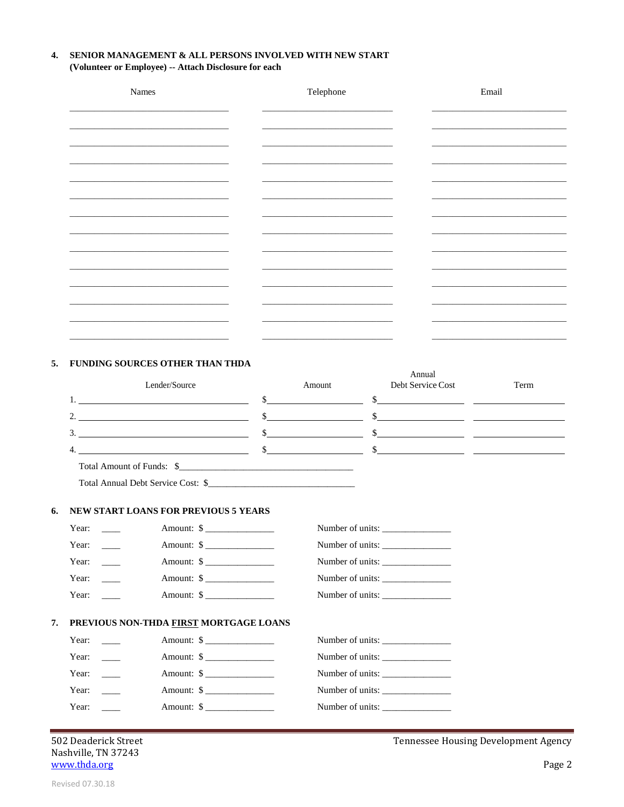#### 4. SENIOR MANAGEMENT & ALL PERSONS INVOLVED WITH NEW START (Volunteer or Employee) -- Attach Disclosure for each

| Names      | Telephone | Email |
|------------|-----------|-------|
|            |           |       |
| __________ |           |       |
|            |           |       |
|            |           |       |
|            |           |       |
|            |           |       |
|            |           |       |
|            |           |       |
|            |           |       |
|            |           |       |
|            |           |       |

#### 5. FUNDING SOURCES OTHER THAN THDA

|                           | Lender/Source | Amount | Annual<br>Debt Service Cost | Term |
|---------------------------|---------------|--------|-----------------------------|------|
|                           |               |        |                             |      |
| $\mathcal{D}$<br><b>L</b> |               |        |                             |      |
| 3.                        |               |        |                             |      |
| $\overline{4}$            |               |        |                             |      |
|                           |               |        |                             |      |

Total Amount of Funds: \$

Total Annual Debt Service Cost: \$

#### 6. NEW START LOANS FOR PREVIOUS 5 YEARS

| Year: |                                        | Amount: \$              | Number of units: |  |
|-------|----------------------------------------|-------------------------|------------------|--|
| Year: |                                        | Amount: $\frac{1}{2}$   | Number of units: |  |
| Year: |                                        | Amount: \$              | Number of units: |  |
| Year: |                                        | Amount: $\frac{\ }{\ }$ | Number of units: |  |
| Year: |                                        | Amount: $\frac{\ }{\ }$ | Number of units: |  |
|       |                                        |                         |                  |  |
|       |                                        |                         |                  |  |
|       | PREVIOUS NON-THDA FIRST MORTGAGE LOANS |                         |                  |  |
| Year: |                                        | Amount: $\frac{\ }{\ }$ | Number of units: |  |
| Year: |                                        | Amount: $\frac{1}{2}$   | Number of units: |  |
| Year: |                                        | Amount: \$              | Number of units: |  |
| Year: |                                        | Amount: $\$\$           | Number of units: |  |
| Year: |                                        | Amount: $\frac{1}{2}$   | Number of units: |  |

502 Deaderick Street Nashville, TN 37243 www.thda.org

Tennessee Housing Development Agency

7.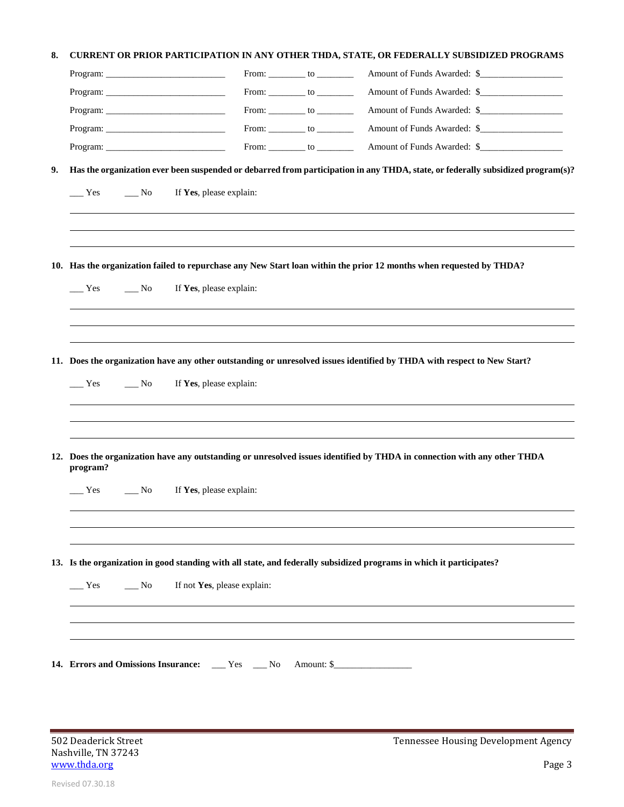## **8. CURRENT OR PRIOR PARTICIPATION IN ANY OTHER THDA, STATE, OR FEDERALLY SUBSIDIZED PROGRAMS**

|    |                                                  |                             |                                      | Amount of Funds Awarded: \$                                                                                                     |
|----|--------------------------------------------------|-----------------------------|--------------------------------------|---------------------------------------------------------------------------------------------------------------------------------|
|    |                                                  |                             | From: $\_\_\_\_$ to $\_\_\_\_\_\_\_$ | Amount of Funds Awarded: \$                                                                                                     |
|    |                                                  |                             | From: $\_\_\_\_$ to $\_\_\_\_\_\_$   | Amount of Funds Awarded: \$                                                                                                     |
|    |                                                  |                             | From: ___________ to ____________    | Amount of Funds Awarded: \$                                                                                                     |
|    | Program:                                         |                             | From: _________ to __________        | Amount of Funds Awarded: \$                                                                                                     |
| 9. |                                                  |                             |                                      | Has the organization ever been suspended or debarred from participation in any THDA, state, or federally subsidized program(s)? |
|    | Yes<br>$\overline{\phantom{1}}$ No               | If Yes, please explain:     |                                      |                                                                                                                                 |
|    |                                                  |                             |                                      |                                                                                                                                 |
|    |                                                  |                             |                                      | 10. Has the organization failed to repurchase any New Start loan within the prior 12 months when requested by THDA?             |
|    | Yes<br>$\overline{\phantom{1}}$ No               | If Yes, please explain:     |                                      |                                                                                                                                 |
|    |                                                  |                             |                                      |                                                                                                                                 |
|    |                                                  |                             |                                      | 11. Does the organization have any other outstanding or unresolved issues identified by THDA with respect to New Start?         |
|    | $Y$ es<br>$\overline{\phantom{1}}$ No            | If Yes, please explain:     |                                      |                                                                                                                                 |
|    |                                                  |                             |                                      |                                                                                                                                 |
|    |                                                  |                             |                                      |                                                                                                                                 |
|    | program?                                         |                             |                                      | 12. Does the organization have any outstanding or unresolved issues identified by THDA in connection with any other THDA        |
|    | Yes<br>No.                                       | If Yes, please explain:     |                                      |                                                                                                                                 |
|    |                                                  |                             |                                      |                                                                                                                                 |
|    |                                                  |                             |                                      | 13. Is the organization in good standing with all state, and federally subsidized programs in which it participates?            |
|    |                                                  |                             |                                      |                                                                                                                                 |
|    | $\frac{N_0}{N_0}$<br>$\equiv$ Yes                | If not Yes, please explain: |                                      |                                                                                                                                 |
|    |                                                  |                             |                                      |                                                                                                                                 |
|    |                                                  |                             |                                      |                                                                                                                                 |
|    | 14. Errors and Omissions Insurance: __ Yes __ No |                             |                                      | Amount: \$                                                                                                                      |